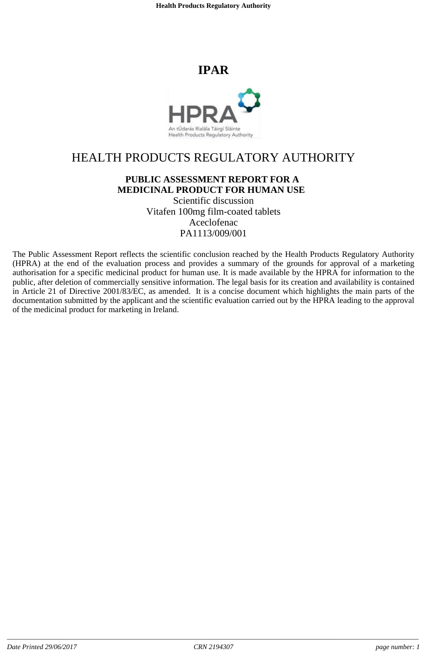**Health Products Regulatory Authority**

## **IPAR**



# HEALTH PRODUCTS REGULATORY AUTHORITY

## **PUBLIC ASSESSMENT REPORT FOR A MEDICINAL PRODUCT FOR HUMAN USE**

Scientific discussion Vitafen 100mg film-coated tablets Aceclofenac PA1113/009/001

The Public Assessment Report reflects the scientific conclusion reached by the Health Products Regulatory Authority (HPRA) at the end of the evaluation process and provides a summary of the grounds for approval of a marketing authorisation for a specific medicinal product for human use. It is made available by the HPRA for information to the public, after deletion of commercially sensitive information. The legal basis for its creation and availability is contained in Article 21 of Directive 2001/83/EC, as amended. It is a concise document which highlights the main parts of the documentation submitted by the applicant and the scientific evaluation carried out by the HPRA leading to the approval of the medicinal product for marketing in Ireland.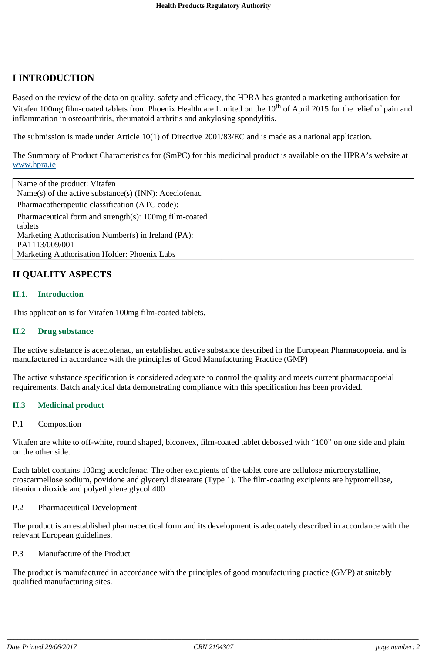## **I INTRODUCTION**

Based on the review of the data on quality, safety and efficacy, the HPRA has granted a marketing authorisation for Vitafen 100mg film-coated tablets from Phoenix Healthcare Limited on the 10<sup>th</sup> of April 2015 for the relief of pain and inflammation in osteoarthritis, rheumatoid arthritis and ankylosing spondylitis.

The submission is made under Article 10(1) of Directive 2001/83/EC and is made as a national application.

The Summary of Product Characteristics for (SmPC) for this medicinal product is available on the HPRA's website at www.hpra.ie

Name of the product: Vitafen Name(s) of the active substance(s) (INN): Aceclofenac Pharmacotherapeutic classification (ATC code): Pharmaceutical form and strength(s): 100mg film-coated tablets Marketing Authorisation Number(s) in Ireland (PA): PA1113/009/001 Marketing Authorisation Holder: Phoenix Labs

## **II QUALITY ASPECTS**

#### **II.1. Introduction**

This application is for Vitafen 100mg film-coated tablets.

#### **II.2 Drug substance**

The active substance is aceclofenac, an established active substance described in the European Pharmacopoeia, and is manufactured in accordance with the principles of Good Manufacturing Practice (GMP)

The active substance specification is considered adequate to control the quality and meets current pharmacopoeial requirements. Batch analytical data demonstrating compliance with this specification has been provided.

#### **II.3 Medicinal product**

#### P.1 Composition

Vitafen are white to off-white, round shaped, biconvex, film-coated tablet debossed with "100" on one side and plain on the other side.

Each tablet contains 100mg aceclofenac. The other excipients of the tablet core are cellulose microcrystalline, croscarmellose sodium, povidone and glyceryl distearate (Type 1). The film-coating excipients are hypromellose, titanium dioxide and polyethylene glycol 400

#### P.2 Pharmaceutical Development

The product is an established pharmaceutical form and its development is adequately described in accordance with the relevant European guidelines.

#### P.3 Manufacture of the Product

The product is manufactured in accordance with the principles of good manufacturing practice (GMP) at suitably qualified manufacturing sites.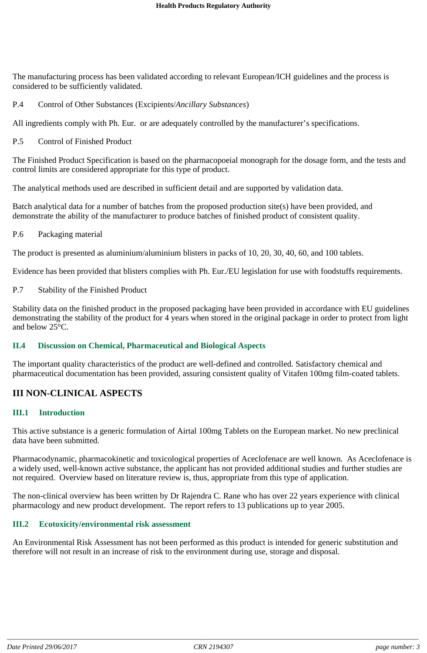The manufacturing process has been validated according to relevant European/ICH guidelines and the process is considered to be sufficiently validated.

#### P.4 Control of Other Substances (Excipients/*Ancillary Substances*)

All ingredients comply with Ph. Eur. or are adequately controlled by the manufacturer's specifications.

#### P.5 Control of Finished Product

The Finished Product Specification is based on the pharmacopoeial monograph for the dosage form, and the tests and control limits are considered appropriate for this type of product.

The analytical methods used are described in sufficient detail and are supported by validation data.

Batch analytical data for a number of batches from the proposed production site(s) have been provided, and demonstrate the ability of the manufacturer to produce batches of finished product of consistent quality.

#### P.6 Packaging material

The product is presented as aluminium/aluminium blisters in packs of 10, 20, 30, 40, 60, and 100 tablets.

Evidence has been provided that blisters complies with Ph. Eur./EU legislation for use with foodstuffs requirements.

P.7 Stability of the Finished Product

Stability data on the finished product in the proposed packaging have been provided in accordance with EU guidelines demonstrating the stability of the product for 4 years when stored in the original package in order to protect from light and below 25°C.

#### **II.4 Discussion on Chemical, Pharmaceutical and Biological Aspects**

The important quality characteristics of the product are well-defined and controlled. Satisfactory chemical and pharmaceutical documentation has been provided, assuring consistent quality of Vitafen 100mg film-coated tablets.

## **III NON-CLINICAL ASPECTS**

#### **III.1 Introduction**

This active substance is a generic formulation of Airtal 100mg Tablets on the European market. No new preclinical data have been submitted.

Pharmacodynamic, pharmacokinetic and toxicological properties of Aceclofenace are well known. As Aceclofenace is a widely used, well-known active substance, the applicant has not provided additional studies and further studies are not required. Overview based on literature review is, thus, appropriate from this type of application.

The non-clinical overview has been written by Dr Rajendra C. Rane who has over 22 years experience with clinical pharmacology and new product development. The report refers to 13 publications up to year 2005.

#### **III.2 Ecotoxicity/environmental risk assessment**

An Environmental Risk Assessment has not been performed as this product is intended for generic substitution and therefore will not result in an increase of risk to the environment during use, storage and disposal.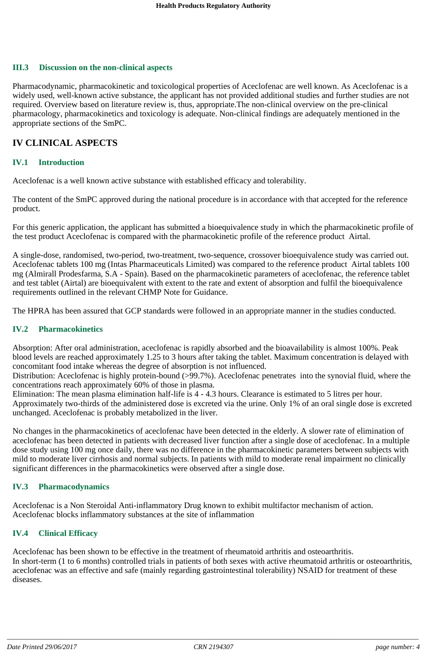#### **III.3 Discussion on the non-clinical aspects**

Pharmacodynamic, pharmacokinetic and toxicological properties of Aceclofenac are well known. As Aceclofenac is a widely used, well-known active substance, the applicant has not provided additional studies and further studies are not required. Overview based on literature review is, thus, appropriate.The non-clinical overview on the pre-clinical pharmacology, pharmacokinetics and toxicology is adequate. Non-clinical findings are adequately mentioned in the appropriate sections of the SmPC.

### **IV CLINICAL ASPECTS**

#### **IV.1 Introduction**

Aceclofenac is a well known active substance with established efficacy and tolerability.

The content of the SmPC approved during the national procedure is in accordance with that accepted for the reference product.

For this generic application, the applicant has submitted a bioequivalence study in which the pharmacokinetic profile of the test product Aceclofenac is compared with the pharmacokinetic profile of the reference product Airtal.

A single-dose, randomised, two-period, two-treatment, two-sequence, crossover bioequivalence study was carried out. Aceclofenac tablets 100 mg (Intas Pharmaceuticals Limited) was compared to the reference product Airtal tablets 100 mg (Almirall Prodesfarma, S.A - Spain). Based on the pharmacokinetic parameters of aceclofenac, the reference tablet and test tablet (Airtal) are bioequivalent with extent to the rate and extent of absorption and fulfil the bioequivalence requirements outlined in the relevant CHMP Note for Guidance.

The HPRA has been assured that GCP standards were followed in an appropriate manner in the studies conducted.

#### **IV.2 Pharmacokinetics**

Absorption: After oral administration, aceclofenac is rapidly absorbed and the bioavailability is almost 100%. Peak blood levels are reached approximately 1.25 to 3 hours after taking the tablet. Maximum concentration is delayed with concomitant food intake whereas the degree of absorption is not influenced.

Distribution: Aceclofenac is highly protein-bound (>99.7%). Aceclofenac penetrates into the synovial fluid, where the concentrations reach approximately 60% of those in plasma.

Elimination: The mean plasma elimination half-life is 4 - 4.3 hours. Clearance is estimated to 5 litres per hour. Approximately two-thirds of the administered dose is excreted via the urine. Only 1% of an oral single dose is excreted unchanged. Aceclofenac is probably metabolized in the liver.

No changes in the pharmacokinetics of aceclofenac have been detected in the elderly. A slower rate of elimination of aceclofenac has been detected in patients with decreased liver function after a single dose of aceclofenac. In a multiple dose study using 100 mg once daily, there was no difference in the pharmacokinetic parameters between subjects with mild to moderate liver cirrhosis and normal subjects. In patients with mild to moderate renal impairment no clinically significant differences in the pharmacokinetics were observed after a single dose.

#### **IV.3 Pharmacodynamics**

Aceclofenac is a Non Steroidal Anti-inflammatory Drug known to exhibit multifactor mechanism of action. Aceclofenac blocks inflammatory substances at the site of inflammation

#### **IV.4 Clinical Efficacy**

Aceclofenac has been shown to be effective in the treatment of rheumatoid arthritis and osteoarthritis. In short-term (1 to 6 months) controlled trials in patients of both sexes with active rheumatoid arthritis or osteoarthritis, aceclofenac was an effective and safe (mainly regarding gastrointestinal tolerability) NSAID for treatment of these diseases.